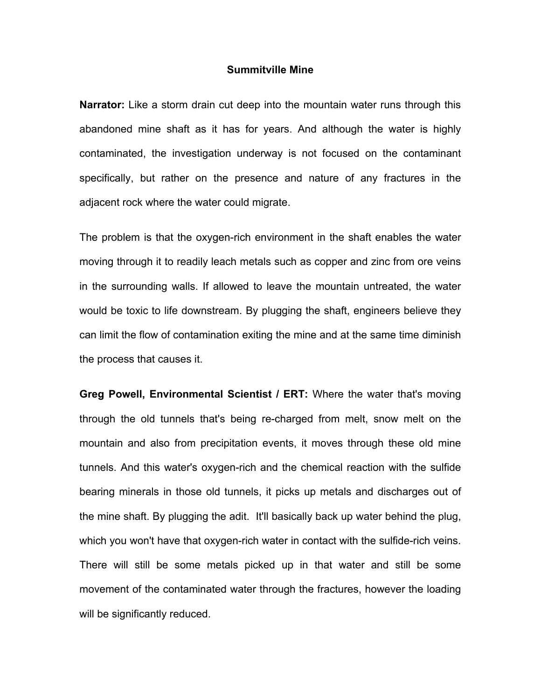## **Summitville Mine**

**Narrator:** Like a storm drain cut deep into the mountain water runs through this abandoned mine shaft as it has for years. And although the water is highly contaminated, the investigation underway is not focused on the contaminant specifically, but rather on the presence and nature of any fractures in the adjacent rock where the water could migrate.

The problem is that the oxygen-rich environment in the shaft enables the water moving through it to readily leach metals such as copper and zinc from ore veins in the surrounding walls. If allowed to leave the mountain untreated, the water would be toxic to life downstream. By plugging the shaft, engineers believe they can limit the flow of contamination exiting the mine and at the same time diminish the process that causes it.

**Greg Powell, Environmental Scientist / ERT:** Where the water that's moving through the old tunnels that's being re-charged from melt, snow melt on the mountain and also from precipitation events, it moves through these old mine tunnels. And this water's oxygen-rich and the chemical reaction with the sulfide bearing minerals in those old tunnels, it picks up metals and discharges out of the mine shaft. By plugging the adit. It'll basically back up water behind the plug, which you won't have that oxygen-rich water in contact with the sulfide-rich veins. There will still be some metals picked up in that water and still be some movement of the contaminated water through the fractures, however the loading will be significantly reduced.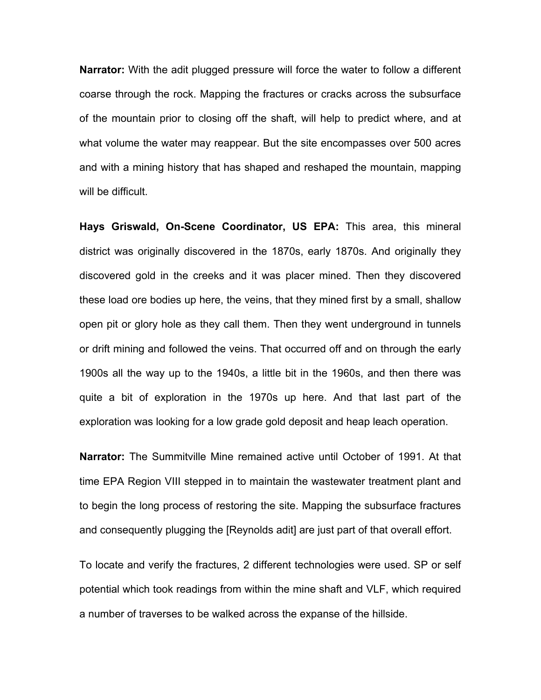**Narrator:** With the adit plugged pressure will force the water to follow a different coarse through the rock. Mapping the fractures or cracks across the subsurface of the mountain prior to closing off the shaft, will help to predict where, and at what volume the water may reappear. But the site encompasses over 500 acres and with a mining history that has shaped and reshaped the mountain, mapping will be difficult.

**Hays Griswald, On-Scene Coordinator, US EPA:** This area, this mineral district was originally discovered in the 1870s, early 1870s. And originally they discovered gold in the creeks and it was placer mined. Then they discovered these load ore bodies up here, the veins, that they mined first by a small, shallow open pit or glory hole as they call them. Then they went underground in tunnels or drift mining and followed the veins. That occurred off and on through the early 1900s all the way up to the 1940s, a little bit in the 1960s, and then there was quite a bit of exploration in the 1970s up here. And that last part of the exploration was looking for a low grade gold deposit and heap leach operation.

**Narrator:** The Summitville Mine remained active until October of 1991. At that time EPA Region VIII stepped in to maintain the wastewater treatment plant and to begin the long process of restoring the site. Mapping the subsurface fractures and consequently plugging the [Reynolds adit] are just part of that overall effort.

To locate and verify the fractures, 2 different technologies were used. SP or self potential which took readings from within the mine shaft and VLF, which required a number of traverses to be walked across the expanse of the hillside.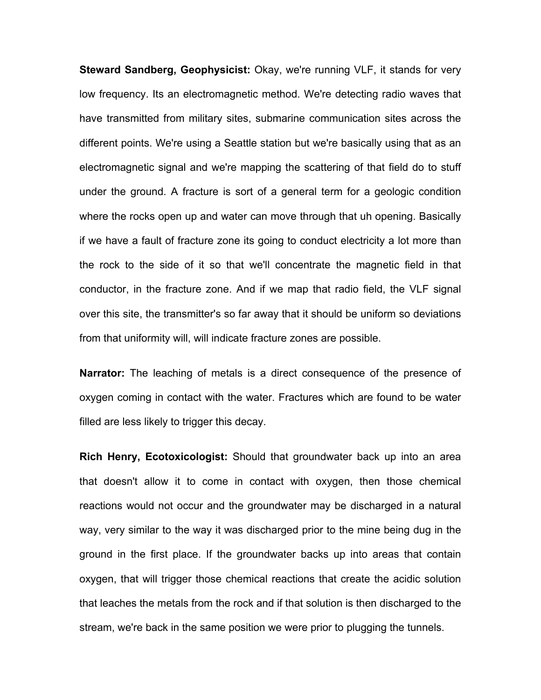**Steward Sandberg, Geophysicist:** Okay, we're running VLF, it stands for very low frequency. Its an electromagnetic method. We're detecting radio waves that have transmitted from military sites, submarine communication sites across the different points. We're using a Seattle station but we're basically using that as an electromagnetic signal and we're mapping the scattering of that field do to stuff under the ground. A fracture is sort of a general term for a geologic condition where the rocks open up and water can move through that uh opening. Basically if we have a fault of fracture zone its going to conduct electricity a lot more than the rock to the side of it so that we'll concentrate the magnetic field in that conductor, in the fracture zone. And if we map that radio field, the VLF signal over this site, the transmitter's so far away that it should be uniform so deviations from that uniformity will, will indicate fracture zones are possible.

**Narrator:** The leaching of metals is a direct consequence of the presence of oxygen coming in contact with the water. Fractures which are found to be water filled are less likely to trigger this decay.

**Rich Henry, Ecotoxicologist:** Should that groundwater back up into an area that doesn't allow it to come in contact with oxygen, then those chemical reactions would not occur and the groundwater may be discharged in a natural way, very similar to the way it was discharged prior to the mine being dug in the ground in the first place. If the groundwater backs up into areas that contain oxygen, that will trigger those chemical reactions that create the acidic solution that leaches the metals from the rock and if that solution is then discharged to the stream, we're back in the same position we were prior to plugging the tunnels.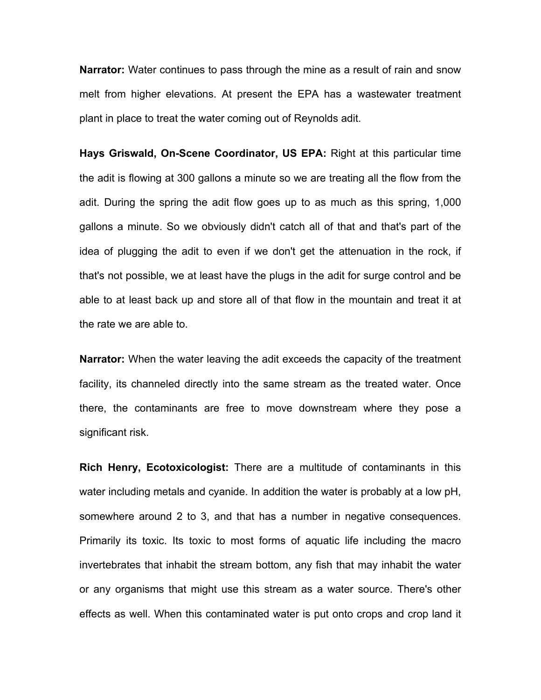**Narrator:** Water continues to pass through the mine as a result of rain and snow melt from higher elevations. At present the EPA has a wastewater treatment plant in place to treat the water coming out of Reynolds adit.

**Hays Griswald, On-Scene Coordinator, US EPA:** Right at this particular time the adit is flowing at 300 gallons a minute so we are treating all the flow from the adit. During the spring the adit flow goes up to as much as this spring, 1,000 gallons a minute. So we obviously didn't catch all of that and that's part of the idea of plugging the adit to even if we don't get the attenuation in the rock, if that's not possible, we at least have the plugs in the adit for surge control and be able to at least back up and store all of that flow in the mountain and treat it at the rate we are able to.

**Narrator:** When the water leaving the adit exceeds the capacity of the treatment facility, its channeled directly into the same stream as the treated water. Once there, the contaminants are free to move downstream where they pose a significant risk.

**Rich Henry, Ecotoxicologist:** There are a multitude of contaminants in this water including metals and cyanide. In addition the water is probably at a low pH, somewhere around 2 to 3, and that has a number in negative consequences. Primarily its toxic. Its toxic to most forms of aquatic life including the macro invertebrates that inhabit the stream bottom, any fish that may inhabit the water or any organisms that might use this stream as a water source. There's other effects as well. When this contaminated water is put onto crops and crop land it